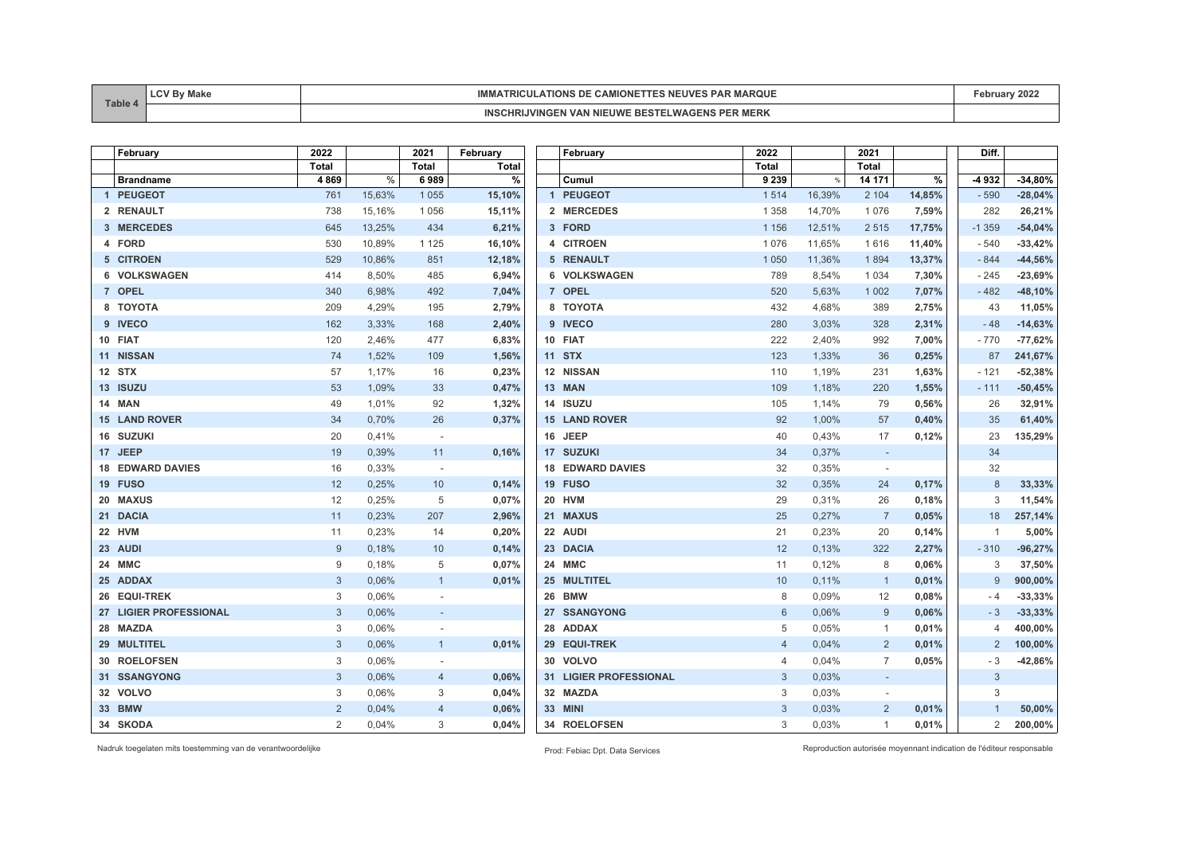| <b>Table</b> | пакс | <b>IMM</b><br>יחום<br>TIONS<br><sup>⊸</sup> PAR พ.<br><b>MARQUL</b><br>DЕ<br><b>CAMIONE</b><br>NEUV<br>KILI. | 202<br>epruary " |
|--------------|------|--------------------------------------------------------------------------------------------------------------|------------------|
|              |      | <b>WING.</b><br>. IWF<br>MERK<br>INC<br>EB.<br>.                                                             |                  |

| February                | 2022         |        | 2021                     | February     |    | February                | 2022           |        | 2021                     |        | Diff.          |           |
|-------------------------|--------------|--------|--------------------------|--------------|----|-------------------------|----------------|--------|--------------------------|--------|----------------|-----------|
|                         | <b>Total</b> |        | <b>Total</b>             | <b>Total</b> |    |                         | <b>Total</b>   |        | <b>Total</b>             |        |                |           |
| <b>Brandname</b>        | 4869         | $\%$   | 6989                     | %            |    | Cumul                   | 9 2 3 9        | %      | 14 171                   | %      | -4932          | $-34,80%$ |
| 1 PEUGEOT               | 761          | 15,63% | 1 0 5 5                  | 15,10%       |    | 1 PEUGEOT               | 1514           | 16,39% | 2 104                    | 14,85% | $-590$         | $-28,04%$ |
| 2 RENAULT               | 738          | 15,16% | 1056                     | 15,11%       |    | 2 MERCEDES              | 1 3 5 8        | 14,70% | 1076                     | 7,59%  | 282            | 26,21%    |
| 3 MERCEDES              | 645          | 13,25% | 434                      | 6,21%        |    | 3 FORD                  | 1 1 5 6        | 12,51% | 2515                     | 17,75% | $-1359$        | $-54,04%$ |
| 4 FORD                  | 530          | 10,89% | 1 1 2 5                  | 16,10%       |    | 4 CITROEN               | 1076           | 11,65% | 1616                     | 11,40% | $-540$         | $-33,42%$ |
| 5 CITROEN               | 529          | 10,86% | 851                      | 12,18%       |    | 5 RENAULT               | 1 0 5 0        | 11,36% | 1894                     | 13,37% | $-844$         | $-44,56%$ |
| 6 VOLKSWAGEN            | 414          | 8,50%  | 485                      | 6,94%        |    | 6 VOLKSWAGEN            | 789            | 8,54%  | 1 0 3 4                  | 7,30%  | $-245$         | $-23,69%$ |
| 7 OPEL                  | 340          | 6,98%  | 492                      | 7,04%        |    | 7 OPEL                  | 520            | 5,63%  | 1 0 0 2                  | 7,07%  | $-482$         | $-48,10%$ |
| 8 TOYOTA                | 209          | 4,29%  | 195                      | 2,79%        |    | 8 TOYOTA                | 432            | 4,68%  | 389                      | 2,75%  | 43             | 11,05%    |
| 9 IVECO                 | 162          | 3,33%  | 168                      | 2,40%        |    | 9 IVECO                 | 280            | 3,03%  | 328                      | 2,31%  | $-48$          | $-14,63%$ |
| 10 FIAT                 | 120          | 2,46%  | 477                      | 6,83%        |    | 10 FIAT                 | 222            | 2,40%  | 992                      | 7,00%  | $-770$         | $-77,62%$ |
| 11 NISSAN               | 74           | 1,52%  | 109                      | 1,56%        |    | 11 STX                  | 123            | 1,33%  | 36                       | 0,25%  | 87             | 241,67%   |
| 12 STX                  | 57           | 1,17%  | 16                       | 0,23%        |    | 12 NISSAN               | 110            | 1,19%  | 231                      | 1,63%  | $-121$         | $-52,38%$ |
| 13 ISUZU                | 53           | 1,09%  | 33                       | 0,47%        |    | 13 MAN                  | 109            | 1,18%  | 220                      | 1,55%  | $-111$         | $-50,45%$ |
| 14 MAN                  | 49           | 1,01%  | 92                       | 1,32%        |    | 14 ISUZU                | 105            | 1,14%  | 79                       | 0,56%  | 26             | 32,91%    |
| <b>15 LAND ROVER</b>    | 34           | 0,70%  | 26                       | 0,37%        |    | <b>15 LAND ROVER</b>    | 92             | 1,00%  | 57                       | 0,40%  | 35             | 61,40%    |
| 16 SUZUKI               | 20           | 0,41%  | $\overline{\phantom{a}}$ |              |    | 16 JEEP                 | 40             | 0,43%  | 17                       | 0,12%  | 23             | 135,29%   |
| 17 JEEP                 | 19           | 0,39%  | 11                       | 0,16%        |    | 17 SUZUKI               | 34             | 0,37%  | $\sim$                   |        | 34             |           |
| <b>18 EDWARD DAVIES</b> | 16           | 0,33%  | $\sim$                   |              |    | <b>18 EDWARD DAVIES</b> | 32             | 0,35%  | $\overline{\phantom{a}}$ |        | 32             |           |
| 19 FUSO                 | 12           | 0,25%  | 10                       | 0,14%        |    | 19 FUSO                 | 32             | 0,35%  | 24                       | 0,17%  | 8              | 33,33%    |
| 20 MAXUS                | 12           | 0,25%  | 5                        | 0,07%        |    | 20 HVM                  | 29             | 0,31%  | 26                       | 0,18%  | 3              | 11,54%    |
| 21 DACIA                | 11           | 0,23%  | 207                      | 2,96%        |    | 21 MAXUS                | 25             | 0,27%  | $\overline{7}$           | 0,05%  | 18             | 257,14%   |
| 22 HVM                  | 11           | 0,23%  | 14                       | 0,20%        |    | 22 AUDI                 | 21             | 0,23%  | 20                       | 0,14%  | 1              | 5,00%     |
| 23 AUDI                 | 9            | 0,18%  | 10                       | 0,14%        |    | 23 DACIA                | 12             | 0,13%  | 322                      | 2,27%  | $-310$         | $-96,27%$ |
| 24 MMC                  | 9            | 0,18%  | 5                        | 0,07%        |    | 24 MMC                  | 11             | 0,12%  | 8                        | 0,06%  | 3              | 37,50%    |
| 25 ADDAX                | 3            | 0,06%  | $\mathbf{1}$             | 0,01%        |    | 25 MULTITEL             | 10             | 0,11%  | $\overline{1}$           | 0,01%  | 9              | 900,00%   |
| 26 EQUI-TREK            | 3            | 0,06%  |                          |              | 26 | <b>BMW</b>              | 8              | 0.09%  | 12                       | 0,08%  | - 4            | $-33,33%$ |
| 27 LIGIER PROFESSIONAL  | 3            | 0,06%  |                          |              |    | 27 SSANGYONG            | 6              | 0,06%  | 9                        | 0,06%  | $-3$           | $-33,33%$ |
| 28 MAZDA                | 3            | 0,06%  |                          |              | 28 | <b>ADDAX</b>            | 5              | 0,05%  | $\overline{1}$           | 0,01%  | 4              | 400,00%   |
| 29 MULTITEL             | 3            | 0,06%  | $\mathbf{1}$             | 0,01%        |    | 29 EQUI-TREK            | $\overline{4}$ | 0,04%  | $\overline{2}$           | 0,01%  | $\overline{2}$ | 100,00%   |
| 30 ROELOFSEN            | 3            | 0,06%  |                          |              | 30 | <b>VOLVO</b>            | $\overline{4}$ | 0,04%  | $\overline{7}$           | 0,05%  | - 3            | $-42,86%$ |
| 31 SSANGYONG            | 3            | 0,06%  | $\overline{4}$           | 0,06%        |    | 31 LIGIER PROFESSIONAL  | $\mathbf{3}$   | 0,03%  | $\sim$                   |        | 3              |           |
| 32 VOLVO                | 3            | 0,06%  | 3                        | 0,04%        |    | 32 MAZDA                | 3              | 0,03%  |                          |        | 3              |           |
| 33 BMW                  | 2            | 0,04%  | $\overline{4}$           | 0,06%        |    | 33 MINI                 | 3              | 0,03%  | 2                        | 0,01%  |                | 50,00%    |
| 34 SKODA                | 2            | 0.04%  | 3                        | 0,04%        |    | 34 ROELOFSEN            | 3              | 0,03%  | $\mathbf{1}$             | 0,01%  | $\overline{2}$ | 200,00%   |

Nadruk toegelaten mits toestemming van de verantwoordelijke Prod: Febiac Dpt. Data Services Reproduction autorisée moyennant indication de l'éditeur responsable